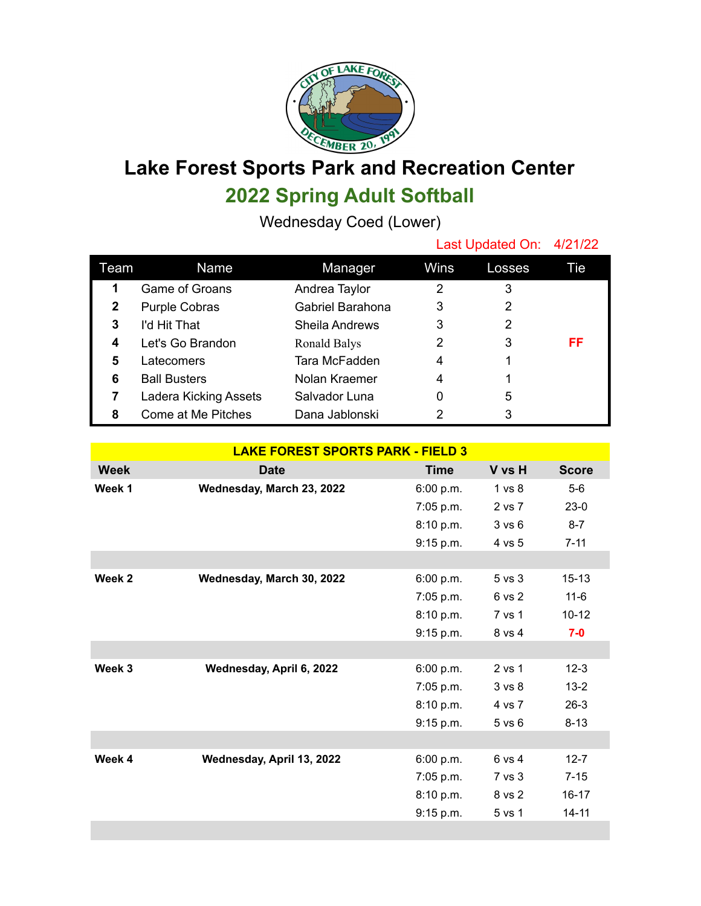

## **Lake Forest Sports Park and Recreation Center 2022 Spring Adult Softball**

Wednesday Coed (Lower)

|      |                       |                       | Last Updated On: 4/21/22 |        |     |
|------|-----------------------|-----------------------|--------------------------|--------|-----|
| Team | Name                  | Manager               | Wins                     | Losses | Tie |
| 1    | Game of Groans        | Andrea Taylor         | 2                        | 3      |     |
| 2    | <b>Purple Cobras</b>  | Gabriel Barahona      | 3                        | 2      |     |
| 3    | I'd Hit That          | <b>Sheila Andrews</b> | 3                        | 2      |     |
| 4    | Let's Go Brandon      | Ronald Balys          | 2                        | 3      | FF  |
| 5    | Latecomers            | Tara McFadden         | 4                        |        |     |
| 6    | <b>Ball Busters</b>   | Nolan Kraemer         | 4                        |        |     |
|      | Ladera Kicking Assets | Salvador Luna         | 0                        | 5      |     |
| 8    | Come at Me Pitches    | Dana Jablonski        | 2                        | 3      |     |

| <b>LAKE FOREST SPORTS PARK - FIELD 3</b> |                           |             |                   |              |  |  |  |  |
|------------------------------------------|---------------------------|-------------|-------------------|--------------|--|--|--|--|
| <b>Week</b>                              | <b>Date</b>               | <b>Time</b> | V vs H            | <b>Score</b> |  |  |  |  |
| Week 1                                   | Wednesday, March 23, 2022 | 6:00 p.m.   | 1 vs 8            | $5-6$        |  |  |  |  |
|                                          |                           | 7:05 p.m.   | 2 vs 7            | $23-0$       |  |  |  |  |
|                                          |                           | 8:10 p.m.   | 3 v s 6           | $8 - 7$      |  |  |  |  |
|                                          |                           | 9:15 p.m.   | 4 vs 5            | $7 - 11$     |  |  |  |  |
|                                          |                           |             |                   |              |  |  |  |  |
| Week 2                                   | Wednesday, March 30, 2022 | 6:00 p.m.   | 5 vs 3            | $15 - 13$    |  |  |  |  |
|                                          |                           | 7:05 p.m.   | 6 vs 2            | $11 - 6$     |  |  |  |  |
|                                          |                           | 8:10 p.m.   | 7 vs 1            | $10 - 12$    |  |  |  |  |
|                                          |                           | 9:15 p.m.   | 8 vs 4            | $7-0$        |  |  |  |  |
|                                          |                           |             |                   |              |  |  |  |  |
| Week 3                                   | Wednesday, April 6, 2022  | 6:00 p.m.   | 2 vs 1            | $12 - 3$     |  |  |  |  |
|                                          |                           | $7:05$ p.m. | 3 <sub>vs</sub> 8 | $13 - 2$     |  |  |  |  |
|                                          |                           | 8:10 p.m.   | 4 vs 7            | $26-3$       |  |  |  |  |
|                                          |                           | 9:15 p.m.   | $5$ vs $6$        | $8 - 13$     |  |  |  |  |
|                                          |                           |             |                   |              |  |  |  |  |
| Week 4                                   | Wednesday, April 13, 2022 | 6:00 p.m.   | 6 vs 4            | $12 - 7$     |  |  |  |  |
|                                          |                           | 7:05 p.m.   | 7 vs 3            | $7 - 15$     |  |  |  |  |
|                                          |                           | 8:10 p.m.   | 8 vs 2            | $16 - 17$    |  |  |  |  |
|                                          |                           | 9:15 p.m.   | 5 vs 1            | $14 - 11$    |  |  |  |  |
|                                          |                           |             |                   |              |  |  |  |  |